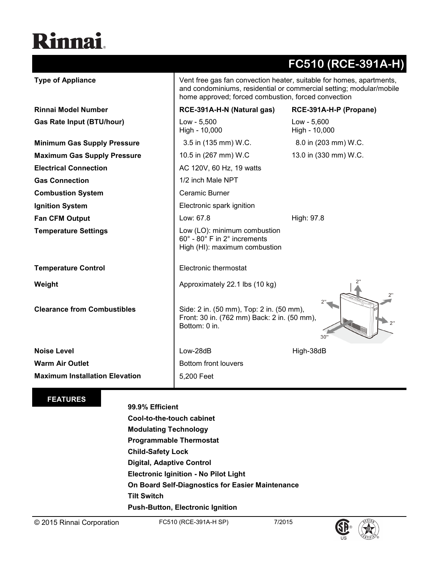## Rinnai.

|                                       |                                                                                                                                                                                                    | FC510 (RCE-391A-H)             |
|---------------------------------------|----------------------------------------------------------------------------------------------------------------------------------------------------------------------------------------------------|--------------------------------|
| <b>Type of Appliance</b>              | Vent free gas fan convection heater, suitable for homes, apartments,<br>and condominiums, residential or commercial setting; modular/mobile<br>home approved; forced combustion, forced convection |                                |
| <b>Rinnai Model Number</b>            | RCE-391A-H-N (Natural gas)                                                                                                                                                                         | RCE-391A-H-P (Propane)         |
| <b>Gas Rate Input (BTU/hour)</b>      | Low - 5,500<br>High - 10,000                                                                                                                                                                       | $Low - 5,600$<br>High - 10,000 |
| <b>Minimum Gas Supply Pressure</b>    | 3.5 in (135 mm) W.C.                                                                                                                                                                               | 8.0 in (203 mm) W.C.           |
| <b>Maximum Gas Supply Pressure</b>    | 10.5 in (267 mm) W.C                                                                                                                                                                               | 13.0 in (330 mm) W.C.          |
| <b>Electrical Connection</b>          | AC 120V, 60 Hz, 19 watts                                                                                                                                                                           |                                |
| <b>Gas Connection</b>                 | 1/2 inch Male NPT                                                                                                                                                                                  |                                |
| <b>Combustion System</b>              | Ceramic Burner                                                                                                                                                                                     |                                |
| <b>Ignition System</b>                | Electronic spark ignition                                                                                                                                                                          |                                |
| <b>Fan CFM Output</b>                 | Low: 67.8                                                                                                                                                                                          | High: 97.8                     |
| <b>Temperature Settings</b>           | Low (LO): minimum combustion<br>60° - 80° F in 2° increments<br>High (HI): maximum combustion                                                                                                      |                                |
| <b>Temperature Control</b>            | Electronic thermostat                                                                                                                                                                              |                                |
| Weight                                | Approximately 22.1 lbs (10 kg)                                                                                                                                                                     |                                |
| <b>Clearance from Combustibles</b>    | Side: 2 in. (50 mm), Top: 2 in. (50 mm),<br>Front: 30 in. (762 mm) Back: 2 in. (50 mm),<br>Bottom: 0 in.                                                                                           | 30'                            |
| <b>Noise Level</b>                    | Low-28dB                                                                                                                                                                                           | High-38dB                      |
| <b>Warm Air Outlet</b>                | Bottom front louvers                                                                                                                                                                               |                                |
| <b>Maximum Installation Elevation</b> | 5,200 Feet                                                                                                                                                                                         |                                |

## **FEATURES**

## **99.9% Efficient**

**Cool-to-the-touch cabinet Modulating Technology Programmable Thermostat Child-Safety Lock Digital, Adaptive Control Electronic Iginition - No Pilot Light On Board Self-Diagnostics for Easier Maintenance Tilt Switch Push-Button, Electronic Ignition**